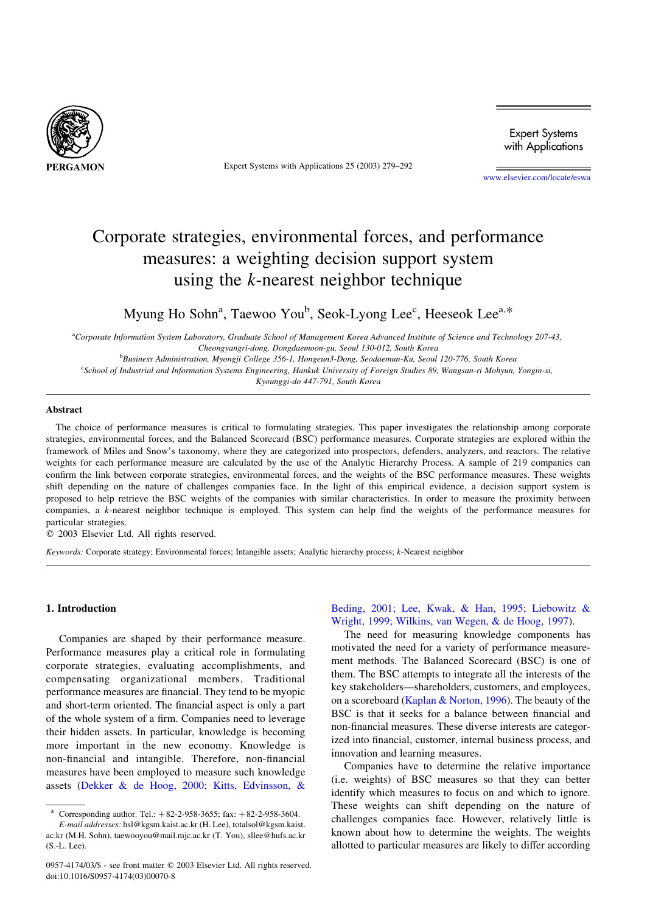

Expert Systems with Applications 25 (2003) 279–292

**Expert Systems** with Applications

[www.elsevier.com/locate/eswa](http://www.elsevier.com/locate/eswa)

## Corporate strategies, environmental forces, and performance measures: a weighting decision support system using the k-nearest neighbor technique

Myung Ho Sohn<sup>a</sup>, Taewoo You<sup>b</sup>, Seok-Lyong Lee<sup>c</sup>, Heeseok Lee<sup>a,\*</sup>

a Corporate Information System Laboratory, Graduate School of Management Korea Advanced Institute of Science and Technology 207-43, Cheongyangri-dong, Dongdaemoon-gu, Seoul 130-012, South Korea b Business Administration, Myongji College 356-1, Hongeun3-Dong, Seodaemun-Ku, Seoul 120-776, South Korea c School of Industrial and Information Systems Engineering, Hankuk University of Foreign Studies 89, Wangsan-ri Mohyun, Yongin-si,

Kyounggi-do 447-791, South Korea

### Abstract

The choice of performance measures is critical to formulating strategies. This paper investigates the relationship among corporate strategies, environmental forces, and the Balanced Scorecard (BSC) performance measures. Corporate strategies are explored within the framework of Miles and Snow's taxonomy, where they are categorized into prospectors, defenders, analyzers, and reactors. The relative weights for each performance measure are calculated by the use of the Analytic Hierarchy Process. A sample of 219 companies can confirm the link between corporate strategies, environmental forces, and the weights of the BSC performance measures. These weights shift depending on the nature of challenges companies face. In the light of this empirical evidence, a decision support system is proposed to help retrieve the BSC weights of the companies with similar characteristics. In order to measure the proximity between companies, a k-nearest neighbor technique is employed. This system can help find the weights of the performance measures for particular strategies.

 $© 2003 Elsevier Ltd. All rights reserved.$ 

Keywords: Corporate strategy; Environmental forces; Intangible assets; Analytic hierarchy process; k-Nearest neighbor

#### 1. Introduction

Companies are shaped by their performance measure. Performance measures play a critical role in formulating corporate strategies, evaluating accomplishments, and compensating organizational members. Traditional performance measures are financial. They tend to be myopic and short-term oriented. The financial aspect is only a part of the whole system of a firm. Companies need to leverage their hidden assets. In particular, knowledge is becoming more important in the new economy. Knowledge is non-financial and intangible. Therefore, non-financial measures have been employed to measure such knowledge assets ([Dekker & de Hoog, 2000; Kitts, Edvinsson, &](#page--1-0)

[Beding, 2001; Lee, Kwak, & Han, 1995; Liebowitz &](#page--1-0) [Wright, 1999; Wilkins, van Wegen, & de Hoog, 1997\)](#page--1-0).

The need for measuring knowledge components has motivated the need for a variety of performance measurement methods. The Balanced Scorecard (BSC) is one of them. The BSC attempts to integrate all the interests of the key stakeholders—shareholders, customers, and employees, on a scoreboard ([Kaplan & Norton, 1996](#page--1-0)). The beauty of the BSC is that it seeks for a balance between financial and non-financial measures. These diverse interests are categorized into financial, customer, internal business process, and innovation and learning measures.

Companies have to determine the relative importance (i.e. weights) of BSC measures so that they can better identify which measures to focus on and which to ignore. These weights can shift depending on the nature of challenges companies face. However, relatively little is known about how to determine the weights. The weights allotted to particular measures are likely to differ according

Corresponding author. Tel.:  $+82-2-958-3655$ ; fax:  $+82-2-958-3604$ .

E-mail addresses: hsl@kgsm.kaist.ac.kr (H. Lee), totalsol@kgsm.kaist. ac.kr (M.H. Sohn), taewooyou@mail.mjc.ac.kr (T. You), sllee@hufs.ac.kr (S.-L. Lee).

<sup>0957-4174/03/\$ -</sup> see front matter © 2003 Elsevier Ltd. All rights reserved. doi:10.1016/S0957-4174(03)00070-8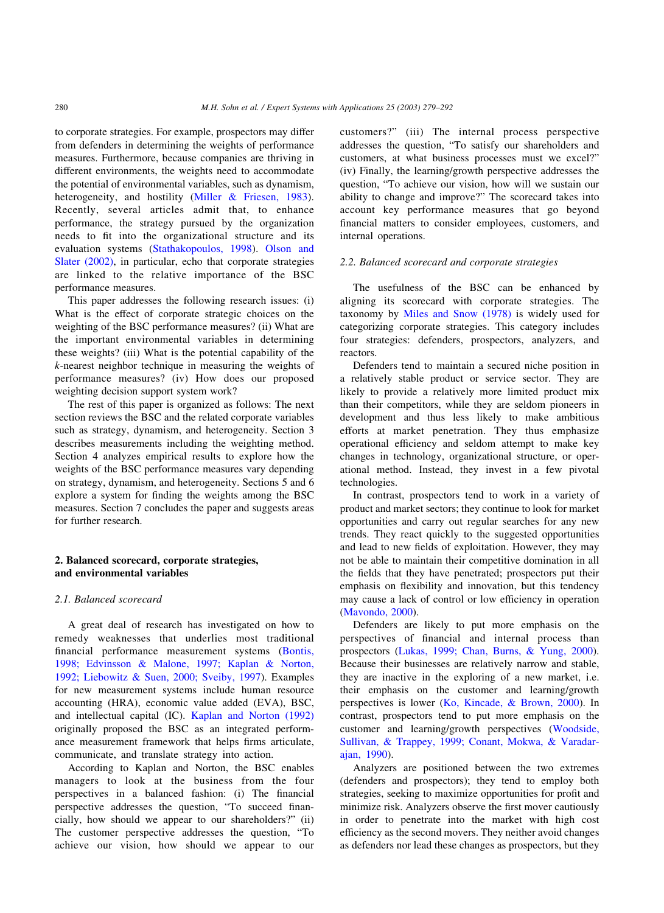to corporate strategies. For example, prospectors may differ from defenders in determining the weights of performance measures. Furthermore, because companies are thriving in different environments, the weights need to accommodate the potential of environmental variables, such as dynamism, heterogeneity, and hostility ([Miller & Friesen, 1983\)](#page--1-0). Recently, several articles admit that, to enhance performance, the strategy pursued by the organization needs to fit into the organizational structure and its evaluation systems ([Stathakopoulos, 1998](#page--1-0)). [Olson and](#page--1-0) [Slater \(2002\),](#page--1-0) in particular, echo that corporate strategies are linked to the relative importance of the BSC performance measures.

This paper addresses the following research issues: (i) What is the effect of corporate strategic choices on the weighting of the BSC performance measures? (ii) What are the important environmental variables in determining these weights? (iii) What is the potential capability of the k-nearest neighbor technique in measuring the weights of performance measures? (iv) How does our proposed weighting decision support system work?

The rest of this paper is organized as follows: The next section reviews the BSC and the related corporate variables such as strategy, dynamism, and heterogeneity. Section 3 describes measurements including the weighting method. Section 4 analyzes empirical results to explore how the weights of the BSC performance measures vary depending on strategy, dynamism, and heterogeneity. Sections 5 and 6 explore a system for finding the weights among the BSC measures. Section 7 concludes the paper and suggests areas for further research.

## 2. Balanced scorecard, corporate strategies, and environmental variables

## 2.1. Balanced scorecard

A great deal of research has investigated on how to remedy weaknesses that underlies most traditional financial performance measurement systems [\(Bontis,](#page--1-0) [1998; Edvinsson & Malone, 1997; Kaplan & Norton,](#page--1-0) [1992; Liebowitz & Suen, 2000; Sveiby, 1997\)](#page--1-0). Examples for new measurement systems include human resource accounting (HRA), economic value added (EVA), BSC, and intellectual capital (IC). [Kaplan and Norton \(1992\)](#page--1-0) originally proposed the BSC as an integrated performance measurement framework that helps firms articulate, communicate, and translate strategy into action.

According to Kaplan and Norton, the BSC enables managers to look at the business from the four perspectives in a balanced fashion: (i) The financial perspective addresses the question, "To succeed financially, how should we appear to our shareholders?" (ii) The customer perspective addresses the question, "To achieve our vision, how should we appear to our customers?" (iii) The internal process perspective addresses the question, "To satisfy our shareholders and customers, at what business processes must we excel?" (iv) Finally, the learning/growth perspective addresses the question, "To achieve our vision, how will we sustain our ability to change and improve?" The scorecard takes into account key performance measures that go beyond financial matters to consider employees, customers, and internal operations.

### 2.2. Balanced scorecard and corporate strategies

The usefulness of the BSC can be enhanced by aligning its scorecard with corporate strategies. The taxonomy by [Miles and Snow \(1978\)](#page--1-0) is widely used for categorizing corporate strategies. This category includes four strategies: defenders, prospectors, analyzers, and reactors.

Defenders tend to maintain a secured niche position in a relatively stable product or service sector. They are likely to provide a relatively more limited product mix than their competitors, while they are seldom pioneers in development and thus less likely to make ambitious efforts at market penetration. They thus emphasize operational efficiency and seldom attempt to make key changes in technology, organizational structure, or operational method. Instead, they invest in a few pivotal technologies.

In contrast, prospectors tend to work in a variety of product and market sectors; they continue to look for market opportunities and carry out regular searches for any new trends. They react quickly to the suggested opportunities and lead to new fields of exploitation. However, they may not be able to maintain their competitive domination in all the fields that they have penetrated; prospectors put their emphasis on flexibility and innovation, but this tendency may cause a lack of control or low efficiency in operation ([Mavondo, 2000\)](#page--1-0).

Defenders are likely to put more emphasis on the perspectives of financial and internal process than prospectors ([Lukas, 1999; Chan, Burns, & Yung, 2000\)](#page--1-0). Because their businesses are relatively narrow and stable, they are inactive in the exploring of a new market, i.e. their emphasis on the customer and learning/growth perspectives is lower ([Ko, Kincade, & Brown, 2000](#page--1-0)). In contrast, prospectors tend to put more emphasis on the customer and learning/growth perspectives ([Woodside,](#page--1-0) [Sullivan, & Trappey, 1999; Conant, Mokwa, & Varadar](#page--1-0)[ajan, 1990](#page--1-0)).

Analyzers are positioned between the two extremes (defenders and prospectors); they tend to employ both strategies, seeking to maximize opportunities for profit and minimize risk. Analyzers observe the first mover cautiously in order to penetrate into the market with high cost efficiency as the second movers. They neither avoid changes as defenders nor lead these changes as prospectors, but they